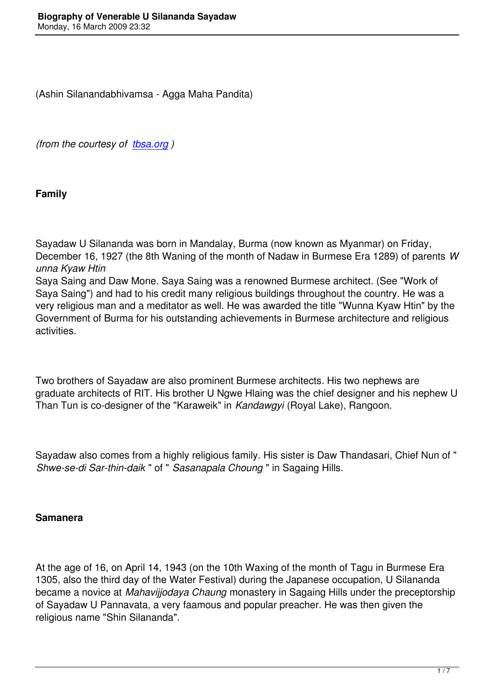*(from the courtesy of tbsa.org )* 

**Family** 

Sayadaw U Silananda was born in Mandalay, Burma (now known as Myanmar) on Friday, December 16, 1927 (the 8th Waning of the month of Nadaw in Burmese Era 1289) of parents *W unna Kyaw Htin* 

Saya Saing and Daw Mone. Saya Saing was a renowned Burmese architect. (See "Work of Saya Saing") and had to his credit many religious buildings throughout the country. He was a very religious man and a meditator as well. He was awarded the title "Wunna Kyaw Htin" by the Government of Burma for his outstanding achievements in Burmese architecture and religious activities.

Two brothers of Sayadaw are also prominent Burmese architects. His two nephews are graduate architects of RIT. His brother U Ngwe Hlaing was the chief designer and his nephew U Than Tun is co-designer of the "Karaweik" in *Kandawgyi* (Royal Lake), Rangoon.

Sayadaw also comes from a highly religious family. His sister is Daw Thandasari, Chief Nun of " *Shwe-se-di Sar-thin-daik* " of " *Sasanapala Choung* " in Sagaing Hills.

### **Samanera**

At the age of 16, on April 14, 1943 (on the 10th Waxing of the month of Tagu in Burmese Era 1305, also the third day of the Water Festival) during the Japanese occupation, U Silananda became a novice at *Mahavijjodaya Chaung* monastery in Sagaing Hills under the preceptorship of Sayadaw U Pannavata, a very faamous and popular preacher. He was then given the religious name "Shin Silananda".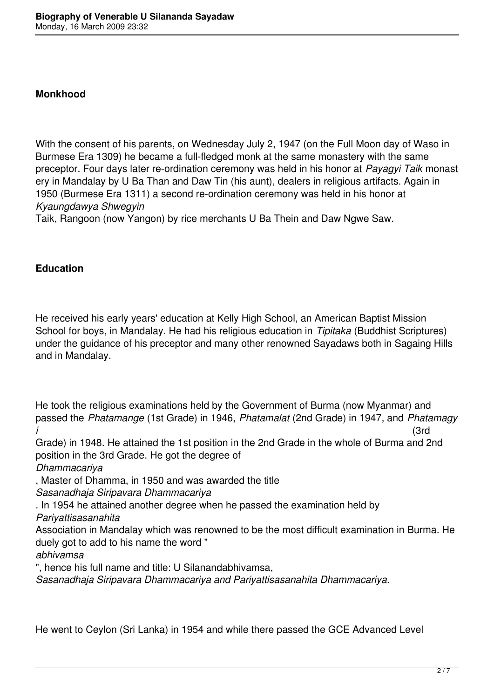#### **Monkhood**

With the consent of his parents, on Wednesday July 2, 1947 (on the Full Moon day of Waso in Burmese Era 1309) he became a full-fledged monk at the same monastery with the same preceptor. Four days later re-ordination ceremony was held in his honor at *Payagyi Taik* monast ery in Mandalay by U Ba Than and Daw Tin (his aunt), dealers in religious artifacts. Again in 1950 (Burmese Era 1311) a second re-ordination ceremony was held in his honor at *Kyaungdawya Shwegyin* 

Taik, Rangoon (now Yangon) by rice merchants U Ba Thein and Daw Ngwe Saw.

### **Education**

He received his early years' education at Kelly High School, an American Baptist Mission School for boys, in Mandalay. He had his religious education in *Tipitaka* (Buddhist Scriptures) under the guidance of his preceptor and many other renowned Sayadaws both in Sagaing Hills and in Mandalay.

He took the religious examinations held by the Government of Burma (now Myanmar) and passed the *Phatamange* (1st Grade) in 1946, *Phatamalat* (2nd Grade) in 1947, and *Phatamagy i* (3rd

Grade) in 1948. He attained the 1st position in the 2nd Grade in the whole of Burma and 2nd position in the 3rd Grade. He got the degree of

*Dhammacariya* 

, Master of Dhamma, in 1950 and was awarded the title

*Sasanadhaja Siripavara Dhammacariya* 

. In 1954 he attained another degree when he passed the examination held by

*Pariyattisasanahita* 

Association in Mandalay which was renowned to be the most difficult examination in Burma. He duely got to add to his name the word "

*abhivamsa* 

", hence his full name and title: U Silanandabhivamsa,

*Sasanadhaja Siripavara Dhammacariya and Pariyattisasanahita Dhammacariya.* 

He went to Ceylon (Sri Lanka) in 1954 and while there passed the GCE Advanced Level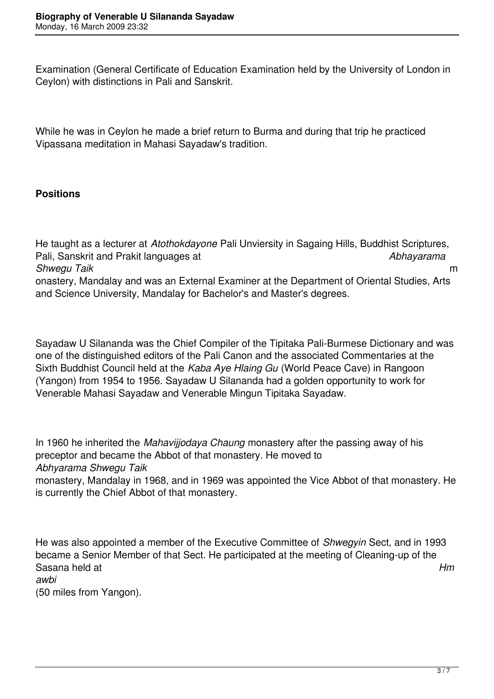Examination (General Certificate of Education Examination held by the University of London in Ceylon) with distinctions in Pali and Sanskrit.

While he was in Ceylon he made a brief return to Burma and during that trip he practiced Vipassana meditation in Mahasi Sayadaw's tradition.

## **Positions**

He taught as a lecturer at *Atothokdayone* Pali Unviersity in Sagaing Hills, Buddhist Scriptures, Pali, Sanskrit and Prakit languages at *Abhayarama Shwegu Taik* m onastery, Mandalay and was an External Examiner at the Department of Oriental Studies, Arts and Science University, Mandalay for Bachelor's and Master's degrees.

Sayadaw U Silananda was the Chief Compiler of the Tipitaka Pali-Burmese Dictionary and was one of the distinguished editors of the Pali Canon and the associated Commentaries at the Sixth Buddhist Council held at the *Kaba Aye Hlaing Gu* (World Peace Cave) in Rangoon (Yangon) from 1954 to 1956. Sayadaw U Silananda had a golden opportunity to work for Venerable Mahasi Sayadaw and Venerable Mingun Tipitaka Sayadaw.

In 1960 he inherited the *Mahavijjodaya Chaung* monastery after the passing away of his preceptor and became the Abbot of that monastery. He moved to *Abhyarama Shwegu Taik*  monastery, Mandalay in 1968, and in 1969 was appointed the Vice Abbot of that monastery. He is currently the Chief Abbot of that monastery.

He was also appointed a member of the Executive Committee of *Shwegyin* Sect, and in 1993 became a Senior Member of that Sect. He participated at the meeting of Cleaning-up of the Sasana held at *Hm awbi*  (50 miles from Yangon).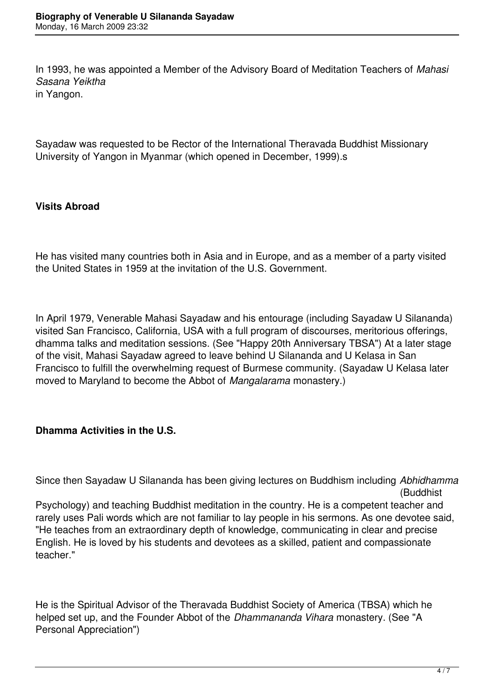In 1993, he was appointed a Member of the Advisory Board of Meditation Teachers of *Mahasi Sasana Yeiktha*  in Yangon.

Sayadaw was requested to be Rector of the International Theravada Buddhist Missionary University of Yangon in Myanmar (which opened in December, 1999).s

## **Visits Abroad**

He has visited many countries both in Asia and in Europe, and as a member of a party visited the United States in 1959 at the invitation of the U.S. Government.

In April 1979, Venerable Mahasi Sayadaw and his entourage (including Sayadaw U Silananda) visited San Francisco, California, USA with a full program of discourses, meritorious offerings, dhamma talks and meditation sessions. (See "Happy 20th Anniversary TBSA") At a later stage of the visit, Mahasi Sayadaw agreed to leave behind U Silananda and U Kelasa in San Francisco to fulfill the overwhelming request of Burmese community. (Sayadaw U Kelasa later moved to Maryland to become the Abbot of *Mangalarama* monastery.)

# **Dhamma Activities in the U.S.**

Since then Sayadaw U Silananda has been giving lectures on Buddhism including *Abhidhamma* (Buddhist

Psychology) and teaching Buddhist meditation in the country. He is a competent teacher and rarely uses Pali words which are not familiar to lay people in his sermons. As one devotee said, "He teaches from an extraordinary depth of knowledge, communicating in clear and precise English. He is loved by his students and devotees as a skilled, patient and compassionate teacher."

He is the Spiritual Advisor of the Theravada Buddhist Society of America (TBSA) which he helped set up, and the Founder Abbot of the *Dhammananda Vihara* monastery. (See "A Personal Appreciation")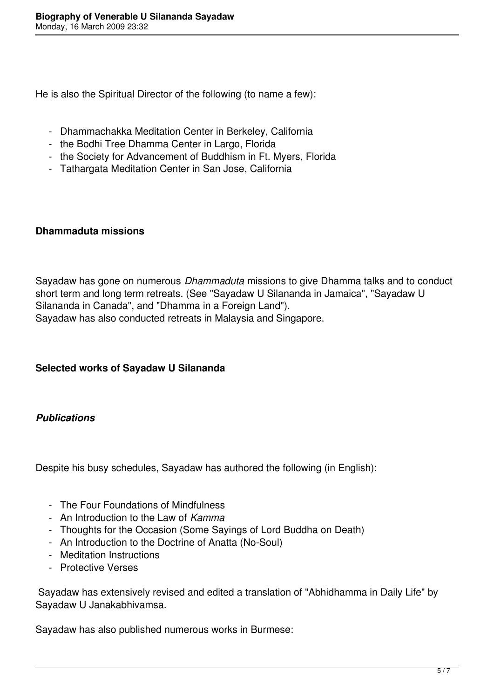He is also the Spiritual Director of the following (to name a few):

- Dhammachakka Meditation Center in Berkeley, California
- the Bodhi Tree Dhamma Center in Largo, Florida
- the Society for Advancement of Buddhism in Ft. Myers, Florida
- Tathargata Meditation Center in San Jose, California

### **Dhammaduta missions**

Sayadaw has gone on numerous *Dhammaduta* missions to give Dhamma talks and to conduct short term and long term retreats. (See "Sayadaw U Silananda in Jamaica", "Sayadaw U Silananda in Canada", and "Dhamma in a Foreign Land"). Sayadaw has also conducted retreats in Malaysia and Singapore.

### **Selected works of Sayadaw U Silananda**

### *Publications*

Despite his busy schedules, Sayadaw has authored the following (in English):

- The Four Foundations of Mindfulness
- An Introduction to the Law of *Kamma*
- Thoughts for the Occasion (Some Sayings of Lord Buddha on Death)
- An Introduction to the Doctrine of Anatta (No-Soul)
- Meditation Instructions
- Protective Verses

 Sayadaw has extensively revised and edited a translation of "Abhidhamma in Daily Life" by Sayadaw U Janakabhivamsa.

Sayadaw has also published numerous works in Burmese: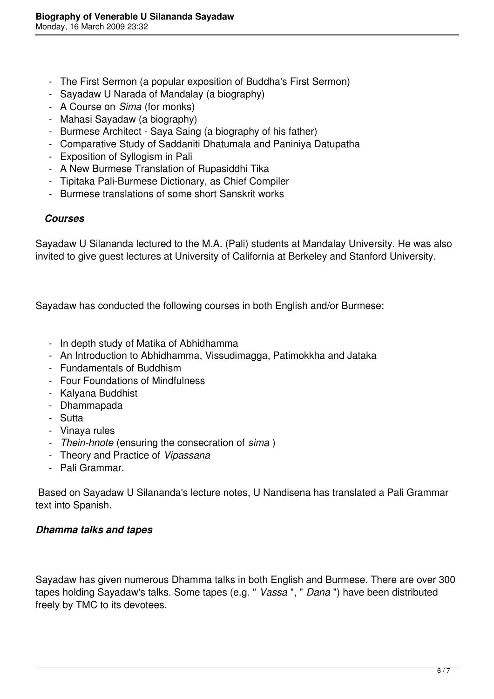- The First Sermon (a popular exposition of Buddha's First Sermon)
- Sayadaw U Narada of Mandalay (a biography)
- A Course on *Sima* (for monks)
- Mahasi Sayadaw (a biography)
- Burmese Architect Saya Saing (a biography of his father)
- Comparative Study of Saddaniti Dhatumala and Paniniya Datupatha
- Exposition of Syllogism in Pali
- A New Burmese Translation of Rupasiddhi Tika
- Tipitaka Pali-Burmese Dictionary, as Chief Compiler
- Burmese translations of some short Sanskrit works

#### *Courses*

Sayadaw U Silananda lectured to the M.A. (Pali) students at Mandalay University. He was also invited to give guest lectures at University of California at Berkeley and Stanford University.

Sayadaw has conducted the following courses in both English and/or Burmese:

- In depth study of Matika of Abhidhamma
- An Introduction to Abhidhamma, Vissudimagga, Patimokkha and Jataka
- Fundamentals of Buddhism
- Four Foundations of Mindfulness
- Kalyana Buddhist
- Dhammapada
- Sutta
- Vinaya rules
- *Thein-hnote* (ensuring the consecration of *sima* )
- Theory and Practice of *Vipassana*
- Pali Grammar.

 Based on Sayadaw U Silananda's lecture notes, U Nandisena has translated a Pali Grammar text into Spanish.

#### *Dhamma talks and tapes*

Sayadaw has given numerous Dhamma talks in both English and Burmese. There are over 300 tapes holding Sayadaw's talks. Some tapes (e.g. " *Vassa* ", " *Dana* ") have been distributed freely by TMC to its devotees.